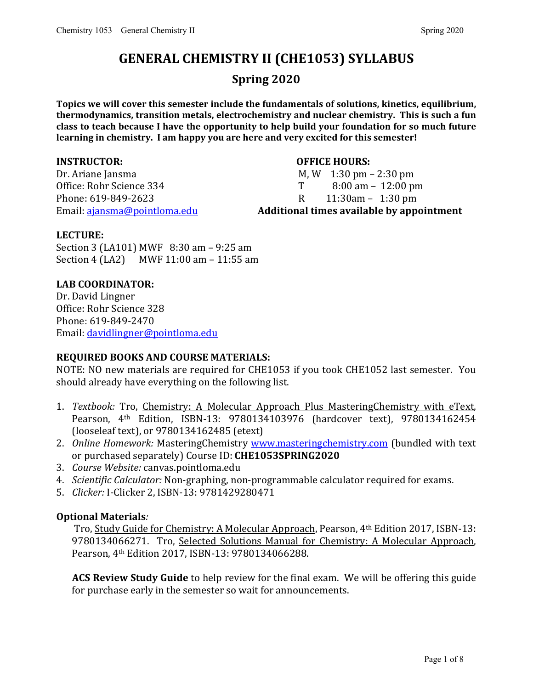# **GENERAL CHEMISTRY II (CHE1053) SYLLABUS**

## **Spring 2020**

**Topics we will cover this semester include the fundamentals of solutions, kinetics, equilibrium, thermodynamics, transition metals, electrochemistry and nuclear chemistry. This is such a fun class to teach because I have the opportunity to help build your foundation for so much future learning in chemistry. I am happy you are here and very excited for this semester!** 

**INSTRUCTOR: OFFICE HOURS:** Office: Rohr Science 334 T<br>Phone: 619-849-2623 R Phone: 619-849-2623<br>Email: <u>ajansma@pointloma.edu</u> **Additional times available by app** 

M, W  $1:30 \text{ pm} - 2:30 \text{ pm}$ <br>T  $8:00 \text{ am} - 12:00 \text{ pm}$ 

#### Email: [ajansma@pointloma.edu](mailto:ajansma@pointloma.edu) **Additional times available by appointment**

#### **LECTURE:**

Section 3 (LA101) MWF 8:30 am – 9:25 am Section 4 (LA2) MWF 11:00 am – 11:55 am

### **LAB COORDINATOR:**

Dr. David Lingner Office: Rohr Science 328 Phone: 619-849-2470 Email: [davidlingner@pointloma.edu](mailto:davidlingner@pointloma.edu)

### **REQUIRED BOOKS AND COURSE MATERIALS:**

NOTE: NO new materials are required for CHE1053 if you took CHE1052 last semester. You should already have everything on the following list.

- 1. *Textbook:* Tro, Chemistry: A Molecular Approach Plus MasteringChemistry with eText, Pearson, 4th Edition, ISBN-13: 9780134103976 (hardcover text), 9780134162454 (looseleaf text), or 9780134162485 (etext)
- 2. *Online Homework:* MasteringChemistry [www.masteringchemistry.com](http://www.masteringchemistry.com/) (bundled with text or purchased separately) Course ID: **CHE1053SPRING2020**
- 3. *Course Website:* canvas.pointloma.edu
- 4. *Scientific Calculator:* Non-graphing, non-programmable calculator required for exams.
- 5. *Clicker:* I-Clicker 2, ISBN-13: 9781429280471

### **Optional Materials***:*

Tro, Study Guide for Chemistry: A Molecular Approach, Pearson, 4th Edition 2017, ISBN-13: 9780134066271. Tro, Selected Solutions Manual for Chemistry: A Molecular Approach, Pearson, 4th Edition 2017, ISBN-13: 9780134066288.

**ACS Review Study Guide** to help review for the final exam. We will be offering this guide for purchase early in the semester so wait for announcements.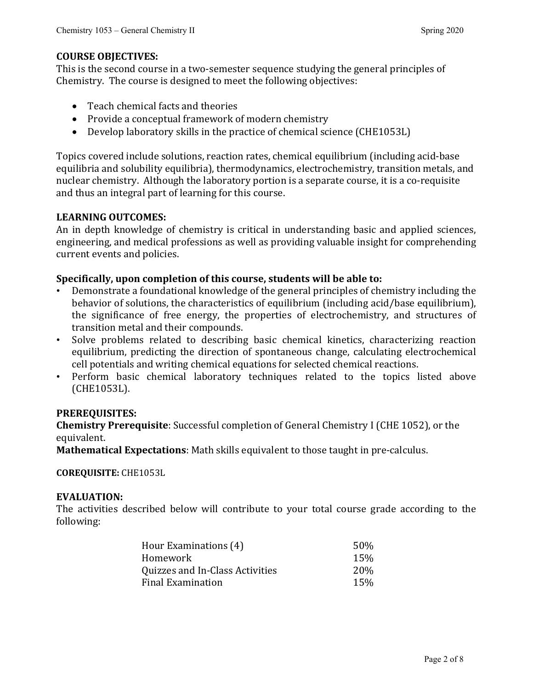#### **COURSE OBJECTIVES:**

This is the second course in a two-semester sequence studying the general principles of Chemistry. The course is designed to meet the following objectives:

- Teach chemical facts and theories
- Provide a conceptual framework of modern chemistry
- Develop laboratory skills in the practice of chemical science (CHE1053L)

Topics covered include solutions, reaction rates, chemical equilibrium (including acid-base equilibria and solubility equilibria), thermodynamics, electrochemistry, transition metals, and nuclear chemistry. Although the laboratory portion is a separate course, it is a co-requisite and thus an integral part of learning for this course.

#### **LEARNING OUTCOMES:**

An in depth knowledge of chemistry is critical in understanding basic and applied sciences, engineering, and medical professions as well as providing valuable insight for comprehending current events and policies.

#### **Specifically, upon completion of this course, students will be able to:**

- Demonstrate a foundational knowledge of the general principles of chemistry including the behavior of solutions, the characteristics of equilibrium (including acid/base equilibrium), the significance of free energy, the properties of electrochemistry, and structures of transition metal and their compounds.
- Solve problems related to describing basic chemical kinetics, characterizing reaction equilibrium, predicting the direction of spontaneous change, calculating electrochemical cell potentials and writing chemical equations for selected chemical reactions.
- Perform basic chemical laboratory techniques related to the topics listed above (CHE1053L).

#### **PREREQUISITES:**

**Chemistry Prerequisite**: Successful completion of General Chemistry I (CHE 1052), or the equivalent.

**Mathematical Expectations**: Math skills equivalent to those taught in pre-calculus.

**COREQUISITE:** CHE1053L

#### **EVALUATION:**

The activities described below will contribute to your total course grade according to the following:

| 50%             |
|-----------------|
| 15%             |
| 20 <sub>%</sub> |
| 15%             |
|                 |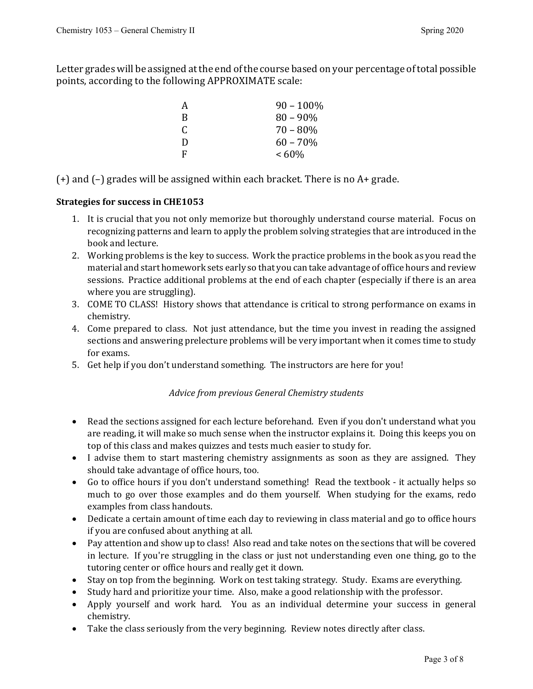Letter grades will be assigned at the end of the course based on your percentage of total possible points, according to the following APPROXIMATE scale:

| A | $90 - 100\%$ |
|---|--------------|
| B | $80 - 90\%$  |
| C | 70 – 80%     |
| D | $60 - 70%$   |
| F | $<60\%$      |

(+) and (–) grades will be assigned within each bracket. There is no A+ grade.

#### **Strategies for success in CHE1053**

- 1. It is crucial that you not only memorize but thoroughly understand course material. Focus on recognizing patterns and learn to apply the problem solving strategies that are introduced in the book and lecture.
- 2. Working problems is the key to success. Work the practice problems in the book as you read the material and start homework sets early so that you can take advantage of office hours and review sessions. Practice additional problems at the end of each chapter (especially if there is an area where you are struggling).
- 3. COME TO CLASS! History shows that attendance is critical to strong performance on exams in chemistry.
- 4. Come prepared to class. Not just attendance, but the time you invest in reading the assigned sections and answering prelecture problems will be very important when it comes time to study for exams.
- 5. Get help if you don't understand something. The instructors are here for you!

#### *Advice from previous General Chemistry students*

- Read the sections assigned for each lecture beforehand. Even if you don't understand what you are reading, it will make so much sense when the instructor explains it. Doing this keeps you on top of this class and makes quizzes and tests much easier to study for.
- I advise them to start mastering chemistry assignments as soon as they are assigned. They should take advantage of office hours, too.
- Go to office hours if you don't understand something! Read the textbook it actually helps so much to go over those examples and do them yourself. When studying for the exams, redo examples from class handouts.
- Dedicate a certain amount of time each day to reviewing in class material and go to office hours if you are confused about anything at all.
- Pay attention and show up to class! Also read and take notes on the sections that will be covered in lecture. If you're struggling in the class or just not understanding even one thing, go to the tutoring center or office hours and really get it down.
- Stay on top from the beginning. Work on test taking strategy. Study. Exams are everything.
- Study hard and prioritize your time. Also, make a good relationship with the professor.
- Apply yourself and work hard. You as an individual determine your success in general chemistry.
- Take the class seriously from the very beginning. Review notes directly after class.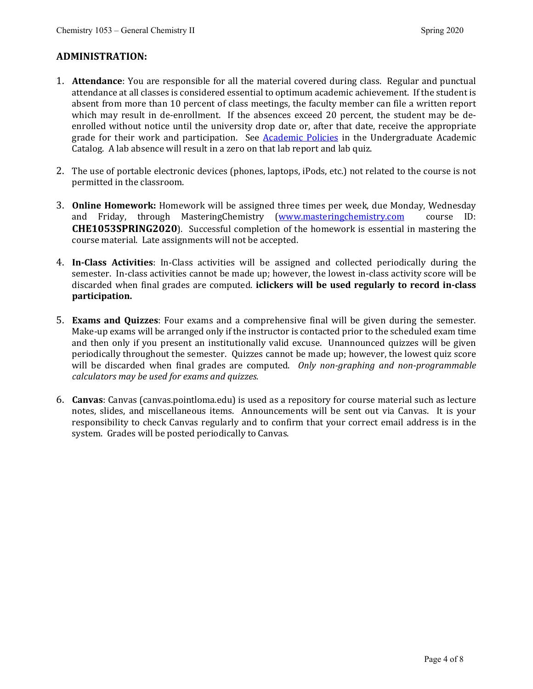#### **ADMINISTRATION:**

- 1. **Attendance**: You are responsible for all the material covered during class. Regular and punctual attendance at all classes is considered essential to optimum academic achievement. If the student is absent from more than 10 percent of class meetings, the faculty member can file a written report which may result in de-enrollment. If the absences exceed 20 percent, the student may be deenrolled without notice until the university drop date or, after that date, receive the appropriate grade for their work and participation. See **Academic Policies** in the Undergraduate Academic Catalog. A lab absence will result in a zero on that lab report and lab quiz.
- 2. The use of portable electronic devices (phones, laptops, iPods, etc.) not related to the course is not permitted in the classroom.
- 3. **Online Homework:** Homework will be assigned three times per week, due Monday, Wednesday and Friday, through MasteringChemistry (www.masteringchemistry.com course ID: and Friday, through MasteringChemistry (www.masteringchemistry.com **CHE1053SPRING2020**). Successful completion of the homework is essential in mastering the course material. Late assignments will not be accepted.
- 4. **In-Class Activities**: In-Class activities will be assigned and collected periodically during the semester. In-class activities cannot be made up; however, the lowest in-class activity score will be discarded when final grades are computed. **iclickers will be used regularly to record in-class participation.**
- 5. **Exams and Quizzes**: Four exams and a comprehensive final will be given during the semester. Make-up exams will be arranged only if the instructor is contacted prior to the scheduled exam time and then only if you present an institutionally valid excuse. Unannounced quizzes will be given periodically throughout the semester. Quizzes cannot be made up; however, the lowest quiz score will be discarded when final grades are computed. *Only non-graphing and non-programmable calculators may be used for exams and quizzes.*
- 6. **Canvas**: Canvas (canvas.pointloma.edu) is used as a repository for course material such as lecture notes, slides, and miscellaneous items. Announcements will be sent out via Canvas. It is your responsibility to check Canvas regularly and to confirm that your correct email address is in the system. Grades will be posted periodically to Canvas.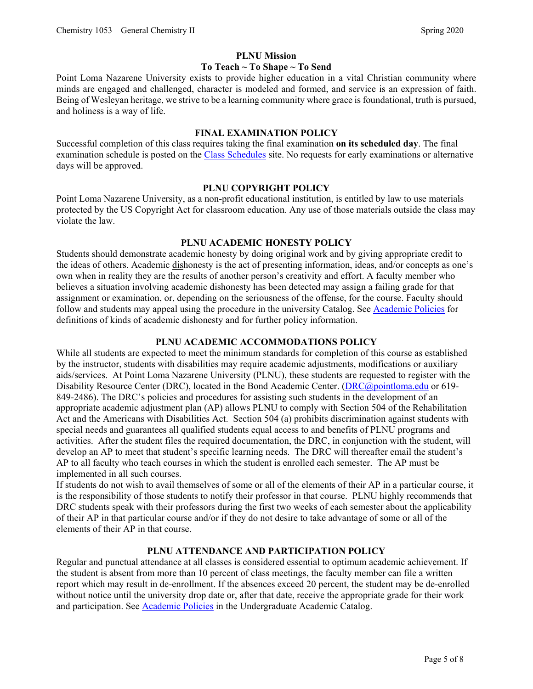#### **PLNU Mission**

#### **To Teach ~ To Shape ~ To Send**

Point Loma Nazarene University exists to provide higher education in a vital Christian community where minds are engaged and challenged, character is modeled and formed, and service is an expression of faith. Being of Wesleyan heritage, we strive to be a learning community where grace is foundational, truth is pursued, and holiness is a way of life.

#### **FINAL EXAMINATION POLICY**

Successful completion of this class requires taking the final examination **on its scheduled day**. The final examination schedule is posted on the [Class Schedules](http://www.pointloma.edu/experience/academics/class-schedules) site. No requests for early examinations or alternative days will be approved.

#### **PLNU COPYRIGHT POLICY**

Point Loma Nazarene University, as a non-profit educational institution, is entitled by law to use materials protected by the US Copyright Act for classroom education. Any use of those materials outside the class may violate the law.

#### **PLNU ACADEMIC HONESTY POLICY**

Students should demonstrate academic honesty by doing original work and by giving appropriate credit to the ideas of others. Academic dishonesty is the act of presenting information, ideas, and/or concepts as one's own when in reality they are the results of another person's creativity and effort. A faculty member who believes a situation involving academic dishonesty has been detected may assign a failing grade for that assignment or examination, or, depending on the seriousness of the offense, for the course. Faculty should follow and students may appeal using the procedure in the university Catalog. See [Academic Policies](http://catalog.pointloma.edu/content.php?catoid=41&navoid=2435) for definitions of kinds of academic dishonesty and for further policy information.

#### **PLNU ACADEMIC ACCOMMODATIONS POLICY**

While all students are expected to meet the minimum standards for completion of this course as established by the instructor, students with disabilities may require academic adjustments, modifications or auxiliary aids/services. At Point Loma Nazarene University (PLNU), these students are requested to register with the Disability Resource Center (DRC), located in the Bond Academic Center. [\(DRC@pointloma.edu](mailto:DRC@pointloma.edu) or 619-849-2486). The DRC's policies and procedures for assisting such students in the development of an appropriate academic adjustment plan (AP) allows PLNU to comply with Section 504 of the Rehabilitation Act and the Americans with Disabilities Act. Section 504 (a) prohibits discrimination against students with special needs and guarantees all qualified students equal access to and benefits of PLNU programs and activities. After the student files the required documentation, the DRC, in conjunction with the student, will develop an AP to meet that student's specific learning needs. The DRC will thereafter email the student's AP to all faculty who teach courses in which the student is enrolled each semester. The AP must be implemented in all such courses.

If students do not wish to avail themselves of some or all of the elements of their AP in a particular course, it is the responsibility of those students to notify their professor in that course. PLNU highly recommends that DRC students speak with their professors during the first two weeks of each semester about the applicability of their AP in that particular course and/or if they do not desire to take advantage of some or all of the elements of their AP in that course.

#### **PLNU ATTENDANCE AND PARTICIPATION POLICY**

Regular and punctual attendance at all classes is considered essential to optimum academic achievement. If the student is absent from more than 10 percent of class meetings, the faculty member can file a written report which may result in de-enrollment. If the absences exceed 20 percent, the student may be de-enrolled without notice until the university drop date or, after that date, receive the appropriate grade for their work and participation. See **Academic Policies** in the Undergraduate Academic Catalog.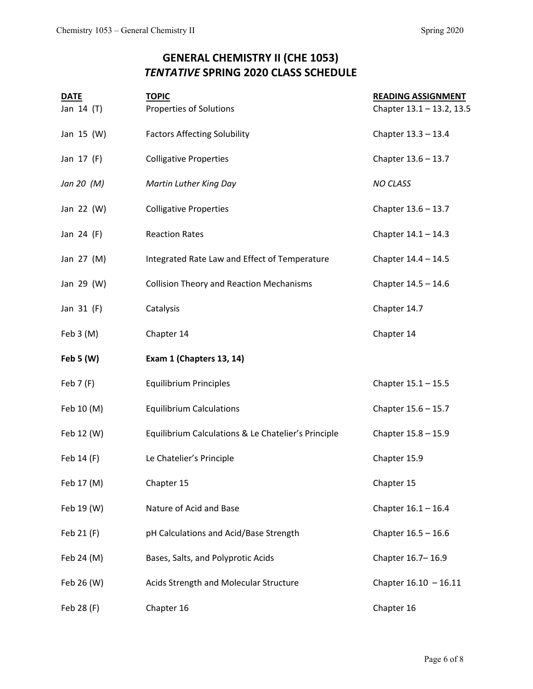# **GENERAL CHEMISTRY II (CHE 1053)** *TENTATIVE* **SPRING 2020 CLASS SCHEDULE**

| <b>DATE</b> | <b>TOPIC</b>                                        | <b>READING ASSIGNMENT</b> |
|-------------|-----------------------------------------------------|---------------------------|
| Jan 14 (T)  | Properties of Solutions                             | Chapter 13.1 - 13.2, 13.5 |
| Jan 15 (W)  | <b>Factors Affecting Solubility</b>                 | Chapter 13.3 - 13.4       |
| Jan 17 (F)  | <b>Colligative Properties</b>                       | Chapter 13.6 - 13.7       |
| Jan 20 (M)  | Martin Luther King Day                              | <b>NO CLASS</b>           |
| Jan 22 (W)  | <b>Colligative Properties</b>                       | Chapter 13.6 - 13.7       |
| Jan 24 (F)  | <b>Reaction Rates</b>                               | Chapter $14.1 - 14.3$     |
| Jan 27 (M)  | Integrated Rate Law and Effect of Temperature       | Chapter $14.4 - 14.5$     |
| Jan 29 (W)  | <b>Collision Theory and Reaction Mechanisms</b>     | Chapter $14.5 - 14.6$     |
| Jan 31 (F)  | Catalysis                                           | Chapter 14.7              |
| Feb 3 (M)   | Chapter 14                                          | Chapter 14                |
| Feb 5 $(W)$ | Exam 1 (Chapters 13, 14)                            |                           |
| Feb $7(F)$  | <b>Equilibrium Principles</b>                       | Chapter 15.1 - 15.5       |
| Feb 10 (M)  | <b>Equilibrium Calculations</b>                     | Chapter 15.6 - 15.7       |
| Feb 12 (W)  | Equilibrium Calculations & Le Chatelier's Principle | Chapter 15.8 - 15.9       |
| Feb 14 (F)  | Le Chatelier's Principle                            | Chapter 15.9              |
| Feb 17 (M)  | Chapter 15                                          | Chapter 15                |
| Feb 19 (W)  | Nature of Acid and Base                             | Chapter $16.1 - 16.4$     |
| Feb 21 (F)  | pH Calculations and Acid/Base Strength              | Chapter $16.5 - 16.6$     |
| Feb 24 (M)  | Bases, Salts, and Polyprotic Acids                  | Chapter 16.7-16.9         |
| Feb 26 (W)  | Acids Strength and Molecular Structure              | Chapter $16.10 - 16.11$   |
| Feb 28 (F)  | Chapter 16                                          | Chapter 16                |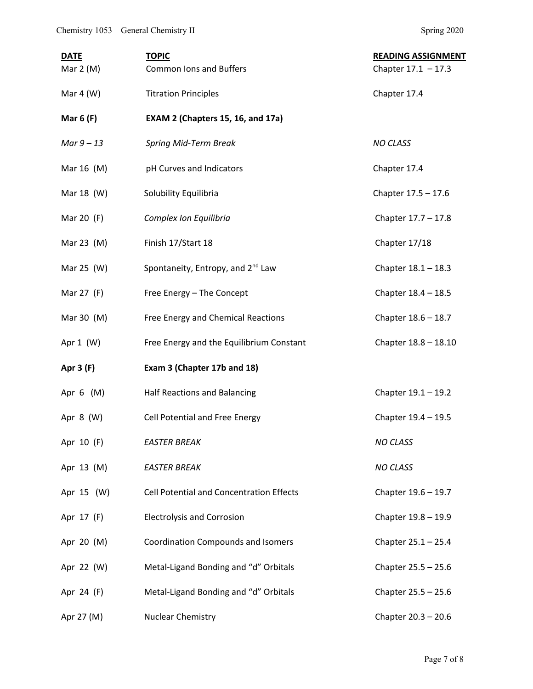| <b>DATE</b> | <b>TOPIC</b>                                  | <b>READING ASSIGNMENT</b> |
|-------------|-----------------------------------------------|---------------------------|
| Mar $2(M)$  | <b>Common lons and Buffers</b>                | Chapter $17.1 - 17.3$     |
| Mar $4 (W)$ | <b>Titration Principles</b>                   | Chapter 17.4              |
| Mar $6(F)$  | EXAM 2 (Chapters 15, 16, and 17a)             |                           |
| Mar $9-13$  | Spring Mid-Term Break                         | <b>NO CLASS</b>           |
| Mar 16 (M)  | pH Curves and Indicators                      | Chapter 17.4              |
| Mar 18 (W)  | Solubility Equilibria                         | Chapter 17.5 - 17.6       |
| Mar 20 (F)  | Complex Ion Equilibria                        | Chapter 17.7 - 17.8       |
| Mar 23 (M)  | Finish 17/Start 18                            | Chapter 17/18             |
| Mar 25 (W)  | Spontaneity, Entropy, and 2 <sup>nd</sup> Law | Chapter $18.1 - 18.3$     |
| Mar 27 (F)  | Free Energy - The Concept                     | Chapter 18.4 - 18.5       |
| Mar 30 (M)  | Free Energy and Chemical Reactions            | Chapter 18.6 - 18.7       |
| Apr $1$ (W) | Free Energy and the Equilibrium Constant      | Chapter 18.8 - 18.10      |
| Apr 3 (F)   | Exam 3 (Chapter 17b and 18)                   |                           |
| Apr $6$ (M) | Half Reactions and Balancing                  | Chapter 19.1 - 19.2       |
| Apr 8 (W)   | Cell Potential and Free Energy                | Chapter 19.4 - 19.5       |
| Apr 10 (F)  | <b>EASTER BREAK</b>                           | <b>NO CLASS</b>           |
| Apr 13 (M)  | <b>EASTER BREAK</b>                           | <b>NO CLASS</b>           |
| Apr 15 (W)  | Cell Potential and Concentration Effects      | Chapter 19.6 - 19.7       |
| Apr 17 (F)  | <b>Electrolysis and Corrosion</b>             | Chapter 19.8 - 19.9       |
| Apr 20 (M)  | <b>Coordination Compounds and Isomers</b>     | Chapter $25.1 - 25.4$     |
| Apr 22 (W)  | Metal-Ligand Bonding and "d" Orbitals         | Chapter 25.5 - 25.6       |
| Apr 24 (F)  | Metal-Ligand Bonding and "d" Orbitals         | Chapter 25.5 - 25.6       |
| Apr 27 (M)  | Nuclear Chemistry                             | Chapter 20.3 - 20.6       |